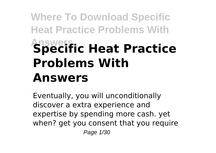# **Where To Download Specific Heat Practice Problems With Answers Specific Heat Practice Problems With Answers**

Eventually, you will unconditionally discover a extra experience and expertise by spending more cash. yet when? get you consent that you require Page 1/30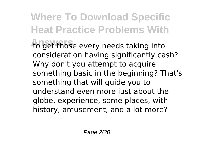## **Where To Download Specific Heat Practice Problems With**

to get those every needs taking into consideration having significantly cash? Why don't you attempt to acquire something basic in the beginning? That's something that will guide you to understand even more just about the globe, experience, some places, with history, amusement, and a lot more?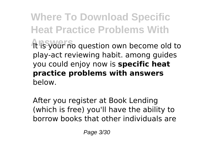**Where To Download Specific Heat Practice Problems With** It is your no question own become old to play-act reviewing habit. among guides you could enjoy now is **specific heat practice problems with answers** below.

After you register at Book Lending (which is free) you'll have the ability to borrow books that other individuals are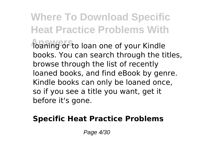**Where To Download Specific Heat Practice Problems With** *Abaning or to loan one of your Kindle* books. You can search through the titles, browse through the list of recently loaned books, and find eBook by genre. Kindle books can only be loaned once, so if you see a title you want, get it before it's gone.

#### **Specific Heat Practice Problems**

Page 4/30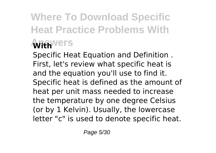## **Where To Download Specific Heat Practice Problems With Answers With**

Specific Heat Equation and Definition . First, let's review what specific heat is and the equation you'll use to find it. Specific heat is defined as the amount of heat per unit mass needed to increase the temperature by one degree Celsius (or by 1 Kelvin). Usually, the lowercase letter "c" is used to denote specific heat.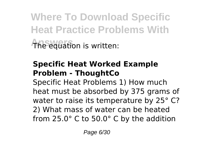**Where To Download Specific Heat Practice Problems With Answers** The equation is written:

## **Specific Heat Worked Example Problem - ThoughtCo**

Specific Heat Problems 1) How much heat must be absorbed by 375 grams of water to raise its temperature by 25° C? 2) What mass of water can be heated from 25.0° C to 50.0° C by the addition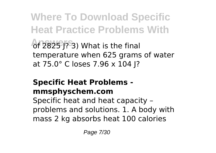**Where To Download Specific Heat Practice Problems With**

**Answers** of 2825 J? 3) What is the final temperature when 625 grams of water at 75.0° C loses 7.96 x 104 J?

## **Specific Heat Problems mmsphyschem.com**

Specific heat and heat capacity – problems and solutions. 1. A body with mass 2 kg absorbs heat 100 calories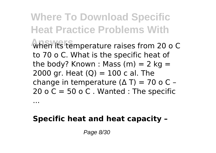**Where To Download Specific Heat Practice Problems With When its temperature raises from 20 o C** to 70 o C. What is the specific heat of the body? Known : Mass  $(m) = 2$  kg = 2000 gr. Heat  $(Q) = 100$  c al. The change in temperature  $(Δ T) = 70$  o C -20 o C = 50 o C. Wanted : The specific

## **Specific heat and heat capacity –**

Page 8/30

...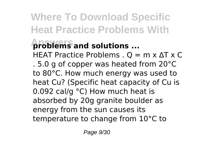## **Where To Download Specific Heat Practice Problems With**

## **Answers problems and solutions ...**

HEAT Practice Problems .  $Q = m \times \Delta T \times C$ . 5.0 g of copper was heated from 20°C to 80°C. How much energy was used to heat Cu? (Specific heat capacity of Cu is 0.092 cal/g °C) How much heat is absorbed by 20g granite boulder as energy from the sun causes its temperature to change from 10°C to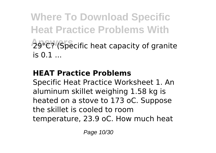**Where To Download Specific Heat Practice Problems With** 29°C? (Specific heat capacity of granite  $i \in \Omega$  1

## **HEAT Practice Problems**

Specific Heat Practice Worksheet 1. An aluminum skillet weighing 1.58 kg is heated on a stove to 173 oC. Suppose the skillet is cooled to room temperature, 23.9 oC. How much heat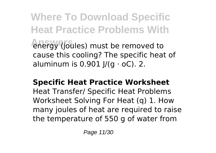**Where To Download Specific Heat Practice Problems With** *<u>Anergy (joules)</u>* must be removed to cause this cooling? The specific heat of aluminum is  $0.901$   $\frac{1}{10}$   $\sigma$   $\sigma$   $\sigma$  $\sigma$  $\sigma$ . 2.

#### **Specific Heat Practice Worksheet**

Heat Transfer/ Specific Heat Problems Worksheet Solving For Heat (q) 1. How many joules of heat are required to raise the temperature of 550 g of water from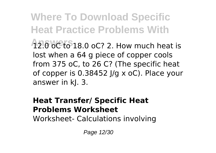**Where To Download Specific Heat Practice Problems With 12.0 oC to 18.0 oC? 2. How much heat is** lost when a 64 g piece of copper cools from 375 oC, to 26 C? (The specific heat of copper is 0.38452 J/g x oC). Place your answer in kJ. 3.

#### **Heat Transfer/ Specific Heat Problems Worksheet**

Worksheet- Calculations involving

Page 12/30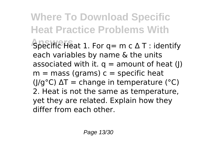**Where To Download Specific Heat Practice Problems With Answers** Specific Heat 1. For q= m c Δ T : identify each variables by name & the units associated with it.  $q =$  amount of heat (|)  $m =$  mass (grams)  $c =$  specific heat ( $I/q^{\circ}C$ )  $\Delta T$  = change in temperature ( $^{\circ}C$ ) 2. Heat is not the same as temperature, yet they are related. Explain how they differ from each other.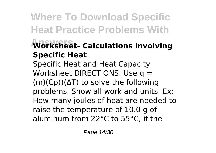## **Where To Download Specific Heat Practice Problems With**

## **Answers Worksheet- Calculations involving Specific Heat**

Specific Heat and Heat Capacity Worksheet DIRECTIONS: Use q = (m)(Cp))(ΔT) to solve the following problems. Show all work and units. Ex: How many joules of heat are needed to raise the temperature of 10.0 g of aluminum from 22°C to 55°C, if the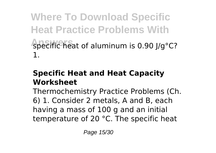**Where To Download Specific Heat Practice Problems With** specific heat of aluminum is 0.90 J/g°C? 1.

## **Specific Heat and Heat Capacity Worksheet**

Thermochemistry Practice Problems (Ch. 6) 1. Consider 2 metals, A and B, each having a mass of 100 g and an initial temperature of 20 °C. The specific heat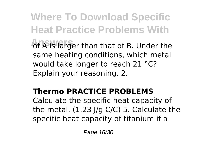**Where To Download Specific Heat Practice Problems With** of A is larger than that of B. Under the same heating conditions, which metal would take longer to reach 21 °C? Explain your reasoning. 2.

## **Thermo PRACTICE PROBLEMS**

Calculate the specific heat capacity of the metal.  $(1.23 \mid qC/C)$  5. Calculate the specific heat capacity of titanium if a

Page 16/30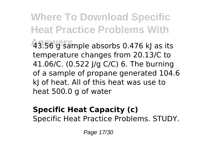**Where To Download Specific Heat Practice Problems With Answers** 43.56 g sample absorbs 0.476 kJ as its temperature changes from 20.13/C to 41.06/C. (0.522 J/g C/C) 6. The burning of a sample of propane generated 104.6 kJ of heat. All of this heat was use to heat 500.0 g of water

#### **Specific Heat Capacity (c)** Specific Heat Practice Problems. STUDY.

Page 17/30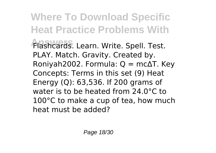**Where To Download Specific Heat Practice Problems With Answers** Flashcards. Learn. Write. Spell. Test. PLAY. Match. Gravity. Created by. Roniyah2002. Formula: Q = mc∆T. Key Concepts: Terms in this set (9) Heat Energy (Q): 63,536. If 200 grams of water is to be heated from 24.0°C to 100°C to make a cup of tea, how much heat must be added?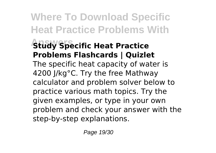## **Where To Download Specific Heat Practice Problems With Study Specific Heat Practice Problems Flashcards | Quizlet** The specific heat capacity of water is 4200 J/kg°C. Try the free Mathway calculator and problem solver below to practice various math topics. Try the given examples, or type in your own problem and check your answer with the step-by-step explanations.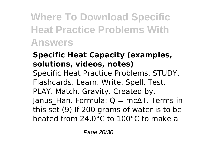**Where To Download Specific Heat Practice Problems With Answers**

## **Specific Heat Capacity (examples, solutions, videos, notes)**

Specific Heat Practice Problems. STUDY. Flashcards. Learn. Write. Spell. Test.

PLAY. Match. Gravity. Created by.

Janus Han. Formula:  $Q = mc\Delta T$ . Terms in this set (9) If 200 grams of water is to be heated from 24.0°C to 100°C to make a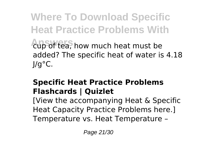**Where To Download Specific Heat Practice Problems With** cup of tea, how much heat must be added? The specific heat of water is 4.18 J/g°C.

## **Specific Heat Practice Problems Flashcards | Quizlet**

[View the accompanying Heat & Specific Heat Capacity Practice Problems here.] Temperature vs. Heat Temperature –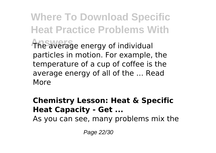**Where To Download Specific Heat Practice Problems With** The average energy of individual particles in motion. For example, the temperature of a cup of coffee is the average energy of all of the … Read More

### **Chemistry Lesson: Heat & Specific Heat Capacity - Get ...**

As you can see, many problems mix the

Page 22/30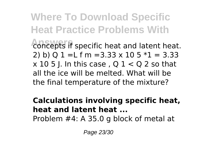**Where To Download Specific Heat Practice Problems With** concepts if specific heat and latent heat. 2) b)  $01 = L$  f m = 3.33 x 10 5  $*1 = 3.33$  $\times$  10 5 I. In this case, Q  $1 < Q$  2 so that all the ice will be melted. What will be the final temperature of the mixture?

**Calculations involving specific heat, heat and latent heat ...** Problem #4: A 35.0 g block of metal at

Page 23/30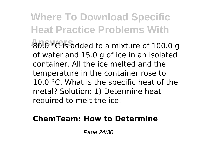**Where To Download Specific Heat Practice Problems With Answers** 80.0 °C is added to a mixture of 100.0 g of water and 15.0 g of ice in an isolated container. All the ice melted and the temperature in the container rose to 10.0 °C. What is the specific heat of the metal? Solution: 1) Determine heat required to melt the ice:

### **ChemTeam: How to Determine**

Page 24/30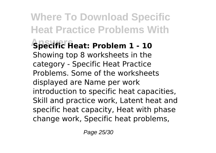**Where To Download Specific Heat Practice Problems With Answers Specific Heat: Problem 1 - 10** Showing top 8 worksheets in the category - Specific Heat Practice Problems. Some of the worksheets displayed are Name per work introduction to specific heat capacities, Skill and practice work, Latent heat and specific heat capacity, Heat with phase change work, Specific heat problems,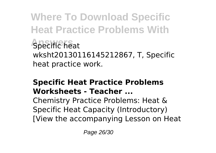**Where To Download Specific Heat Practice Problems With Specific heat** wksht20130116145212867, T, Specific heat practice work.

## **Specific Heat Practice Problems Worksheets - Teacher ...**

Chemistry Practice Problems: Heat & Specific Heat Capacity (Introductory) [View the accompanying Lesson on Heat

Page 26/30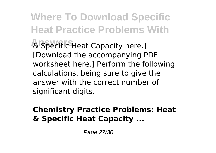**Where To Download Specific Heat Practice Problems With Answers** & Specific Heat Capacity here.] [Download the accompanying PDF worksheet here.] Perform the following calculations, being sure to give the answer with the correct number of significant digits.

### **Chemistry Practice Problems: Heat & Specific Heat Capacity ...**

Page 27/30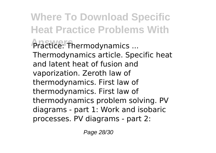**Where To Download Specific Heat Practice Problems With Practice:** Thermodynamics ... Thermodynamics article. Specific heat and latent heat of fusion and vaporization. Zeroth law of thermodynamics. First law of thermodynamics. First law of thermodynamics problem solving. PV diagrams - part 1: Work and isobaric processes. PV diagrams - part 2:

Page 28/30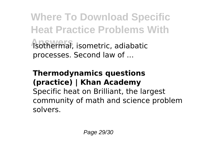**Where To Download Specific Heat Practice Problems With Answers** Isothermal, isometric, adiabatic processes. Second law of ...

## **Thermodynamics questions (practice) | Khan Academy**

Specific heat on Brilliant, the largest community of math and science problem solvers.